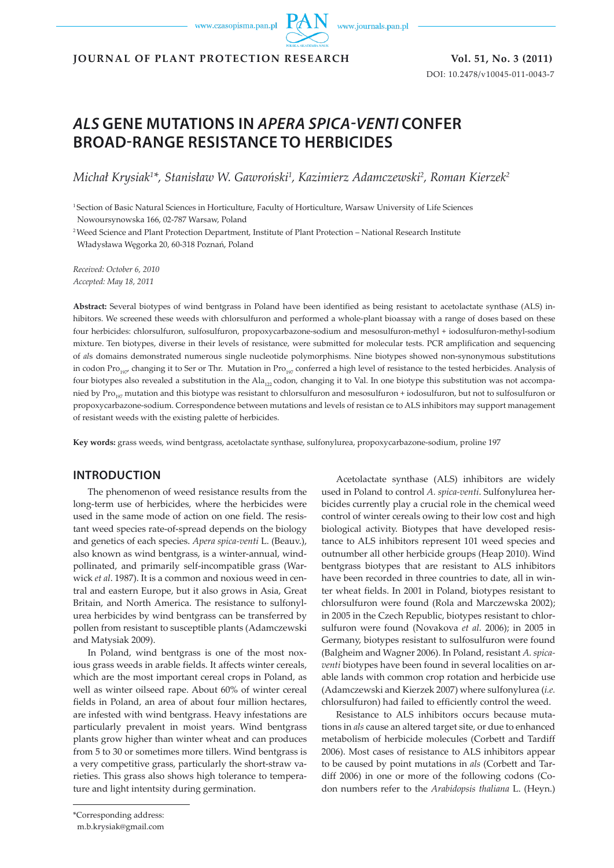www.czasopisma.pan.pl

www.journals.pan.pl

**JOURNAL OF PLANT PROTECTION RESEARCH Vol. 51, No. 3 (2011)**

DOI: 10.2478/v10045-011-0043-7

# *ALS* **GENE MUTATIONS IN** *APERA SPICA-VENTI* **CONFER BROAD-RANGE RESISTANCE TO HERBICIDES**

*Michał Krysiak<sup>1</sup> \*, Stanisław W. Gawroński<sup>1</sup> , Kazimierz Adamczewski<sup>2</sup> , Roman Kierzek<sup>2</sup>*

1 Section of Basic Natural Sciences in Horticulture, Faculty of Horticulture, Warsaw University of Life Sciences Nowoursynowska 166, 02-787 Warsaw, Poland

2 Weed Science and Plant Protection Department, Institute of Plant Protection – National Research Institute Władysława Węgorka 20, 60-318 Poznań, Poland

*Received: October 6, 2010 Accepted: May 18, 2011*

**Abstract:** Several biotypes of wind bentgrass in Poland have been identified as being resistant to acetolactate synthase (ALS) inhibitors. We screened these weeds with chlorsulfuron and performed a whole-plant bioassay with a range of doses based on these four herbicides: chlorsulfuron, sulfosulfuron, propoxycarbazone-sodium and mesosulfuron-methyl + iodosulfuron-methyl-sodium mixture. Ten biotypes, diverse in their levels of resistance, were submitted for molecular tests. PCR amplification and sequencing of *al*s domains demonstrated numerous single nucleotide polymorphisms. Nine biotypes showed non-synonymous substitutions in codon Pro<sub>107</sub>, changing it to Ser or Thr. Mutation in Pro<sub>107</sub> conferred a high level of resistance to the tested herbicides. Analysis of four biotypes also revealed a substitution in the Ala<sub>122</sub> codon, changing it to Val. In one biotype this substitution was not accompanied by Pro<sub>107</sub> mutation and this biotype was resistant to chlorsulfuron and mesosulfuron + iodosulfuron, but not to sulfosulfuron or propoxycarbazone-sodium. Correspondence between mutations and levels of resistan ce to ALS inhibitors may support management of resistant weeds with the existing palette of herbicides.

**Key words:** grass weeds, wind bentgrass, acetolactate synthase, sulfonylurea, propoxycarbazone-sodium, proline 197

## **INTRODUCTION**

The phenomenon of weed resistance results from the long-term use of herbicides, where the herbicides were used in the same mode of action on one field. The resistant weed species rate-of-spread depends on the biology and genetics of each species. *Apera spica-venti* L. (Beauv.), also known as wind bentgrass, is a winter-annual, windpollinated, and primarily self-incompatible grass (Warwick *et al*. 1987). It is a common and noxious weed in central and eastern Europe, but it also grows in Asia, Great Britain, and North America. The resistance to sulfonylurea herbicides by wind bentgrass can be transferred by pollen from resistant to susceptible plants (Adamczewski and Matysiak 2009).

In Poland, wind bentgrass is one of the most noxious grass weeds in arable fields. It affects winter cereals, which are the most important cereal crops in Poland, as well as winter oilseed rape. About 60% of winter cereal fields in Poland, an area of about four million hectares, are infested with wind bentgrass. Heavy infestations are particularly prevalent in moist years. Wind bentgrass plants grow higher than winter wheat and can produces from 5 to 30 or sometimes more tillers. Wind bentgrass is a very competitive grass, particularly the short-straw varieties. This grass also shows high tolerance to temperature and light intentsity during germination.

Acetolactate synthase (ALS) inhibitors are widely used in Poland to control *A. spica-venti*. Sulfonylurea herbicides currently play a crucial role in the chemical weed control of winter cereals owing to their low cost and high biological activity. Biotypes that have developed resistance to ALS inhibitors represent 101 weed species and outnumber all other herbicide groups (Heap 2010). Wind bentgrass biotypes that are resistant to ALS inhibitors have been recorded in three countries to date, all in winter wheat fields. In 2001 in Poland, biotypes resistant to chlorsulfuron were found (Rola and Marczewska 2002); in 2005 in the Czech Republic, biotypes resistant to chlorsulfuron were found (Novakova *et al*. 2006); in 2005 in Germany, biotypes resistant to sulfosulfuron were found (Balgheim and Wagner 2006). In Poland, resistant *A. spicaventi* biotypes have been found in several localities on arable lands with common crop rotation and herbicide use (Adamczewski and Kierzek 2007) where sulfonylurea (*i.e.* chlorsulfuron) had failed to efficiently control the weed.

Resistance to ALS inhibitors occurs because mutations in *als* cause an altered target site, or due to enhanced metabolism of herbicide molecules (Corbett and Tardiff 2006). Most cases of resistance to ALS inhibitors appear to be caused by point mutations in *als* (Corbett and Tardiff 2006) in one or more of the following codons (Codon numbers refer to the *Arabidopsis thaliana* L. (Heyn.)

<sup>\*</sup>Corresponding address:

m.b.krysiak@gmail.com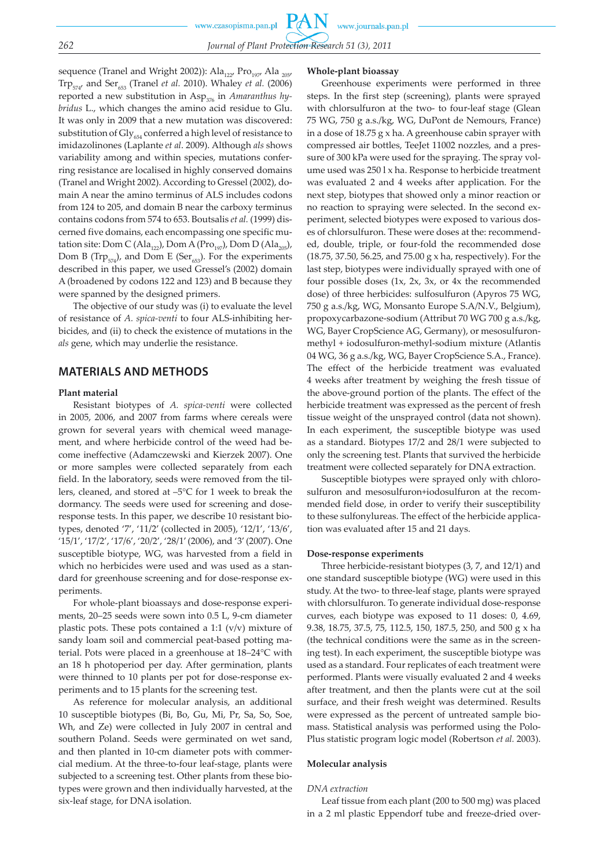sequence (Tranel and Wright 2002)): Ala<sub>122</sub>, Pro<sub>197</sub>, Ala<sub>205</sub>, Trp574, and Ser653 (Tranel *et al.* 2010). Whaley *et al.* (2006) reported a new substitution in Asp<sub>376</sub> in *Amaranthus hybridus* L., which changes the amino acid residue to Glu. It was only in 2009 that a new mutation was discovered: substitution of  $\text{Gly}_{654}$  conferred a high level of resistance to imidazolinones (Laplante *et al*. 2009). Although *als* shows variability among and within species, mutations conferring resistance are localised in highly conserved domains (Tranel and Wright 2002). According to Gressel (2002), domain A near the amino terminus of ALS includes codons from 124 to 205, and domain B near the carboxy terminus contains codons from 574 to 653. Boutsalis *et al.* (1999) discerned five domains, each encompassing one specific mutation site: Dom C (Ala<sub>122</sub>), Dom A (Pro<sub>197</sub>), Dom D (Ala<sub>205</sub>), Dom B (Trp $_{574}$ ), and Dom E (Ser<sub>653</sub>). For the experiments described in this paper, we used Gressel's (2002) domain A (broadened by codons 122 and 123) and B because they were spanned by the designed primers.

The objective of our study was (i) to evaluate the level of resistance of *A. spica-venti* to four ALS-inhibiting herbicides, and (ii) to check the existence of mutations in the *als* gene, which may underlie the resistance.

# **MATERIALS AND METHODS**

### **Plant material**

Resistant biotypes of *A. spica-venti* were collected in 2005, 2006, and 2007 from farms where cereals were grown for several years with chemical weed management, and where herbicide control of the weed had become ineffective (Adamczewski and Kierzek 2007). One or more samples were collected separately from each field. In the laboratory, seeds were removed from the tillers, cleaned, and stored at –5°C for 1 week to break the dormancy. The seeds were used for screening and doseresponse tests. In this paper, we describe 10 resistant biotypes, denoted '7', '11/2' (collected in 2005), '12/1', '13/6', '15/1', '17/2', '17/6', '20/2', '28/1' (2006), and '3' (2007). One susceptible biotype, WG, was harvested from a field in which no herbicides were used and was used as a standard for greenhouse screening and for dose-response experiments.

For whole-plant bioassays and dose-response experiments, 20–25 seeds were sown into 0.5 L, 9-cm diameter plastic pots. These pots contained a 1:1  $(v/v)$  mixture of sandy loam soil and commercial peat-based potting material. Pots were placed in a greenhouse at 18–24°C with an 18 h photoperiod per day. After germination, plants were thinned to 10 plants per pot for dose-response experiments and to 15 plants for the screening test.

As reference for molecular analysis, an additional 10 susceptible biotypes (Bi, Bo, Gu, Mi, Pr, Sa, So, Soe, Wh, and Ze) were collected in July 2007 in central and southern Poland. Seeds were germinated on wet sand, and then planted in 10-cm diameter pots with commercial medium. At the three-to-four leaf-stage, plants were subjected to a screening test. Other plants from these biotypes were grown and then individually harvested, at the six-leaf stage, for DNA isolation.

#### **Whole-plant bioassay**

Greenhouse experiments were performed in three steps. In the first step (screening), plants were sprayed with chlorsulfuron at the two- to four-leaf stage (Glean 75 WG, 750 g a.s./kg, WG, DuPont de Nemours, France) in a dose of 18.75 g x ha. A greenhouse cabin sprayer with compressed air bottles, TeeJet 11002 nozzles, and a pressure of 300 kPa were used for the spraying. The spray volume used was 250 l x ha. Response to herbicide treatment was evaluated 2 and 4 weeks after application. For the next step, biotypes that showed only a minor reaction or no reaction to spraying were selected. In the second experiment, selected biotypes were exposed to various doses of chlorsulfuron. These were doses at the: recommended, double, triple, or four-fold the recommended dose (18.75, 37.50, 56.25, and 75.00 g x ha, respectively). For the last step, biotypes were individually sprayed with one of four possible doses (1x, 2x, 3x, or 4x the recommended dose) of three herbicides: sulfosulfuron (Apyros 75 WG, 750 g a.s./kg, WG, Monsanto Europe S.A/N.V., Belgium), propoxycarbazone-sodium (Attribut 70 WG 700 g a.s./kg, WG, Bayer CropScience AG, Germany), or mesosulfuronmethyl + iodosulfuron-methyl-sodium mixture (Atlantis 04 WG, 36 g a.s./kg, WG, Bayer CropScience S.A., France). The effect of the herbicide treatment was evaluated 4 weeks after treatment by weighing the fresh tissue of the above-ground portion of the plants. The effect of the herbicide treatment was expressed as the percent of fresh tissue weight of the unsprayed control (data not shown). In each experiment, the susceptible biotype was used as a standard. Biotypes 17/2 and 28/1 were subjected to only the screening test. Plants that survived the herbicide treatment were collected separately for DNA extraction.

Susceptible biotypes were sprayed only with chlorosulfuron and mesosulfuron+iodosulfuron at the recommended field dose, in order to verify their susceptibility to these sulfonylureas. The effect of the herbicide application was evaluated after 15 and 21 days.

### **Dose-response experiments**

Three herbicide-resistant biotypes (3, 7, and 12/1) and one standard susceptible biotype (WG) were used in this study. At the two- to three-leaf stage, plants were sprayed with chlorsulfuron. To generate individual dose-response curves, each biotype was exposed to 11 doses: 0, 4.69, 9.38, 18.75, 37.5, 75, 112.5, 150, 187.5, 250, and 500 g x ha (the technical conditions were the same as in the screening test). In each experiment, the susceptible biotype was used as a standard. Four replicates of each treatment were performed. Plants were visually evaluated 2 and 4 weeks after treatment, and then the plants were cut at the soil surface, and their fresh weight was determined. Results were expressed as the percent of untreated sample biomass. Statistical analysis was performed using the Polo-Plus statistic program logic model (Robertson *et al.* 2003).

## **Molecular analysis**

#### *DNA extraction*

Leaf tissue from each plant (200 to 500 mg) was placed in a 2 ml plastic Eppendorf tube and freeze-dried over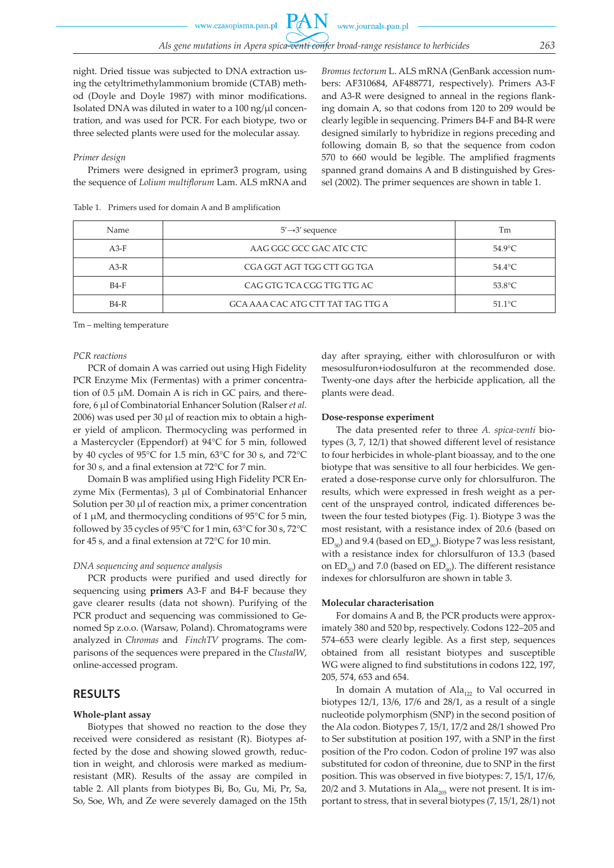night. Dried tissue was subjected to DNA extraction using the cetyltrimethylammonium bromide (CTAB) method (Doyle and Doyle 1987) with minor modifications. Isolated DNA was diluted in water to a 100 ng/μl concentration, and was used for PCR. For each biotype, two or three selected plants were used for the molecular assay.

### *Primer design*

Primers were designed in eprimer3 program, using the sequence of *Lolium multiflorum* Lam. ALS mRNA and

Table 1. Primers used for domain A and B amplification

*Bromus tectorum* L. ALS mRNA (GenBank accession numbers: AF310684, AF488771, respectively). Primers A3-F and A3-R were designed to anneal in the regions flanking domain A, so that codons from 120 to 209 would be clearly legible in sequencing. Primers B4-F and B4-R were designed similarly to hybridize in regions preceding and following domain B, so that the sequence from codon 570 to 660 would be legible. The amplified fragments spanned grand domains A and B distinguished by Gressel (2002). The primer sequences are shown in table 1.

| Name   | $5' \rightarrow 3'$ sequence      | Тm               |
|--------|-----------------------------------|------------------|
| $A3-F$ | AAG GGC GCC GAC ATC CTC           | $54.9^{\circ}$ C |
| $A3-R$ | CGA GGT AGT TGG CTT GG TGA        | $54.4^{\circ}$ C |
| $B4-F$ | CAG GTG TCA CGG TTG TTG AC        | $53.8^{\circ}$ C |
| $B4-R$ | GCA AAA CAC ATG CTT TAT TAG TTG A | $51.1^{\circ}$ C |

Tm – melting temperature

#### *PCR reactions*

PCR of domain A was carried out using High Fidelity PCR Enzyme Mix (Fermentas) with a primer concentration of 0.5 μM. Domain A is rich in GC pairs, and therefore, 6 μl of Combinatorial Enhancer Solution (Ralser *et al.* 2006) was used per 30 μl of reaction mix to obtain a higher yield of amplicon. Thermocycling was performed in a Mastercycler (Eppendorf) at 94°C for 5 min, followed by 40 cycles of 95°C for 1.5 min, 63°C for 30 s, and 72°C for 30 s, and a final extension at 72°C for 7 min.

Domain B was amplified using High Fidelity PCR Enzyme Mix (Fermentas), 3 μl of Combinatorial Enhancer Solution per 30 μl of reaction mix, a primer concentration of 1 μM, and thermocycling conditions of 95°C for 5 min, followed by 35 cycles of 95°C for 1 min, 63°C for 30 s, 72°C for 45 s, and a final extension at 72°C for 10 min.

## *DNA sequencing and sequence analysis*

PCR products were purified and used directly for sequencing using **primers** A3-F and B4-F because they gave clearer results (data not shown). Purifying of the PCR product and sequencing was commissioned to Genomed Sp z.o.o. (Warsaw, Poland). Chromatograms were analyzed in *Chromas* and *FinchTV* programs. The comparisons of the sequences were prepared in the *ClustalW*, online-accessed program.

## **RESULTS**

## **Whole-plant assay**

Biotypes that showed no reaction to the dose they received were considered as resistant (R). Biotypes affected by the dose and showing slowed growth, reduction in weight, and chlorosis were marked as mediumresistant (MR). Results of the assay are compiled in table 2. All plants from biotypes Bi, Bo, Gu, Mi, Pr, Sa, So, Soe, Wh, and Ze were severely damaged on the 15th day after spraying, either with chlorosulfuron or with mesosulfuron+iodosulfuron at the recommended dose. Twenty-one days after the herbicide application, all the plants were dead.

#### **Dose-response experiment**

The data presented refer to three *A. spica-venti* biotypes (3, 7, 12/1) that showed different level of resistance to four herbicides in whole-plant bioassay, and to the one biotype that was sensitive to all four herbicides. We generated a dose-response curve only for chlorsulfuron. The results, which were expressed in fresh weight as a percent of the unsprayed control, indicated differences between the four tested biotypes (Fig. 1). Biotype 3 was the most resistant, with a resistance index of 20.6 (based on  $ED_{50}$ ) and 9.4 (based on  $ED_{50}$ ). Biotype 7 was less resistant, with a resistance index for chlorsulfuron of 13.3 (based on  $ED_{50}$  and 7.0 (based on  $ED_{50}$ ). The different resistance indexes for chlorsulfuron are shown in table 3.

## **Molecular characterisation**

For domains A and B, the PCR products were approximately 380 and 520 bp, respectively. Codons 122–205 and 574–653 were clearly legible. As a first step, sequences obtained from all resistant biotypes and susceptible WG were aligned to find substitutions in codons 122, 197, 205, 574, 653 and 654.

In domain A mutation of  $texttext{Ala}_{122}$  to Val occurred in biotypes 12/1, 13/6, 17/6 and 28/1, as a result of a single nucleotide polymorphism (SNP) in the second position of the Ala codon. Biotypes 7, 15/1, 17/2 and 28/1 showed Pro to Ser substitution at position 197, with a SNP in the first position of the Pro codon. Codon of proline 197 was also substituted for codon of threonine, due to SNP in the first position. This was observed in five biotypes: 7, 15/1, 17/6, 20/2 and 3. Mutations in Ala<sub>205</sub> were not present. It is important to stress, that in several biotypes (7, 15/1, 28/1) not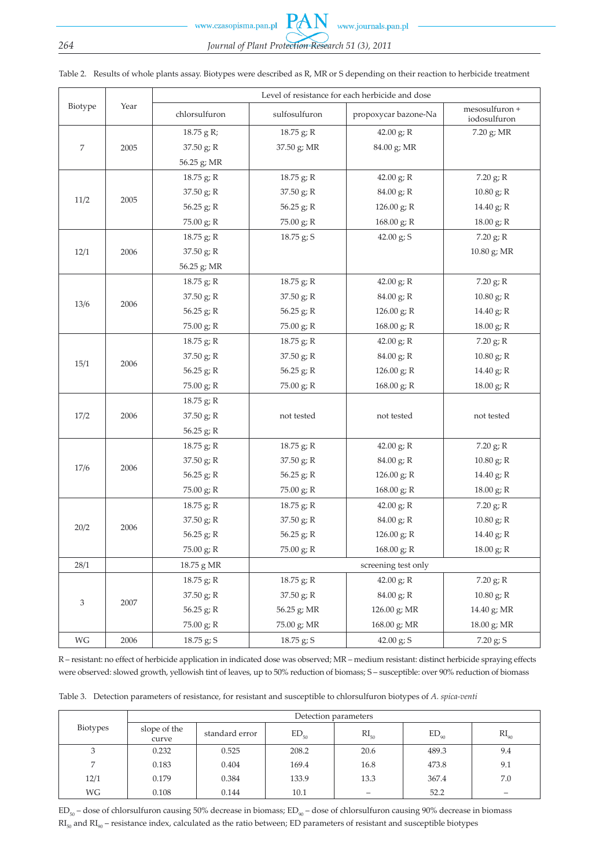www.czasopisma.pan.pl

# *264 Journal of Plant Protection Research 51 (3), 2011*

 $PA$ 

|         | Year | Level of resistance for each herbicide and dose |                     |                      |                                |  |  |  |
|---------|------|-------------------------------------------------|---------------------|----------------------|--------------------------------|--|--|--|
| Biotype |      | chlorsulfuron                                   | sulfosulfuron       | propoxycar bazone-Na | mesosulfuron +<br>iodosulfuron |  |  |  |
| 7       |      | 18.75 g R;                                      | 18.75 g; R          | 42.00 $g$ ; R        | 7.20 g; MR                     |  |  |  |
|         | 2005 | 37.50 g; R                                      | 37.50 g; MR         | 84.00 g; MR          |                                |  |  |  |
|         |      | 56.25 g; MR                                     |                     |                      |                                |  |  |  |
|         |      | $18.75$ g; R                                    | 18.75 g; R          | 42.00 $g$ ; R        | 7.20 g; R                      |  |  |  |
| 11/2    | 2005 | 37.50 g; R                                      | 37.50 g; R          | 84.00 g; R           | $10.80$ g; R                   |  |  |  |
|         |      | 56.25 g; R                                      | 56.25 $g; R$        | 126.00 g; R          | 14.40 g; R                     |  |  |  |
|         |      | 75.00 g; R                                      | 75.00 g; R          | 168.00 g; R          | 18.00 g; R                     |  |  |  |
|         |      | 18.75 g; R                                      | 18.75 g; S          | 42.00 $g$ ; S        | 7.20 g; R                      |  |  |  |
| 12/1    | 2006 | $37.50$ g; R                                    |                     |                      | 10.80 g; MR                    |  |  |  |
|         |      | 56.25 g; MR                                     |                     |                      |                                |  |  |  |
|         |      | 18.75 g; R                                      | 18.75 g; R          | 42.00 g; R           | 7.20 g; R                      |  |  |  |
|         |      | 37.50 g; R                                      | $37.50$ g; R        | 84.00 g; R           | $10.80$ g; R                   |  |  |  |
| 13/6    | 2006 | 56.25 g; R                                      | 56.25 $g; R$        | 126.00 g; R          | 14.40 g; R                     |  |  |  |
|         |      | 75.00 g; R                                      | 75.00 g; R          | 168.00 g; R          | 18.00 g; R                     |  |  |  |
|         |      | 18.75 g; R                                      | 18.75 g; R          | 42.00 $g$ ; R        | 7.20 g; R                      |  |  |  |
|         |      | $37.50$ g; R                                    | $37.50$ g; R        | 84.00 g; R           | 10.80 g; R                     |  |  |  |
| 15/1    | 2006 | 56.25 g; R                                      | 56.25 g; R          | 126.00 g; R          | 14.40 g; R                     |  |  |  |
|         |      | 75.00 g; R                                      | 75.00 g; R          | 168.00 g; R          | 18.00 g; R                     |  |  |  |
|         |      | 18.75 g; R                                      |                     |                      |                                |  |  |  |
| 17/2    | 2006 | 37.50 g; R                                      | not tested          | not tested           | not tested                     |  |  |  |
|         |      | 56.25 g; R                                      |                     |                      |                                |  |  |  |
|         | 2006 | $18.75$ g; R                                    | 18.75 g; R          | 42.00 g; R           | 7.20 g; R                      |  |  |  |
|         |      | 37.50 g; R                                      | 37.50 g; R          | 84.00 g; R           | 10.80 g; R                     |  |  |  |
| 17/6    |      | 56.25 g; R                                      | 56.25 $g$ ; R       | 126.00 g; R          | 14.40 g; R                     |  |  |  |
|         |      | 75.00 g; R                                      | 75.00 g; R          | 168.00 g; R          | 18.00 g; R                     |  |  |  |
| 20/2    | 2006 | 18.75 g; R                                      | 18.75 g; R          | 42.00 $g$ ; R        | 7.20 g; R                      |  |  |  |
|         |      | 37.50 g; R                                      | $37.50$ g; R        | 84.00 g; R           | $10.80$ g; R                   |  |  |  |
|         |      | 56.25 g; R                                      | 56.25 g; R          | 126.00 g; R          | 14.40 g; R                     |  |  |  |
|         |      | 75.00 g; R                                      | 75.00 g; R          | 168.00 g; R          | 18.00 g; R                     |  |  |  |
| 28/1    |      | 18.75 g MR                                      | screening test only |                      |                                |  |  |  |
|         |      | 18.75 g; R                                      | 18.75 g; R          | 42.00 g; R           | 7.20 g; R                      |  |  |  |
|         |      | 37.50 g; R                                      | 37.50 g; R          | 84.00 g; R           | 10.80 g; R                     |  |  |  |
| 3       | 2007 | 56.25 g; R                                      | 56.25 g; MR         | 126.00 g; MR         | 14.40 g; MR                    |  |  |  |
|         |      | 75.00 g; R                                      | 75.00 g; MR         | 168.00 g; MR         | 18.00 g; MR                    |  |  |  |
| WG      | 2006 | 18.75 g; S                                      | 18.75 g; S          | 42.00 $g$ ; S        | 7.20 g; S                      |  |  |  |

Table 2. Results of whole plants assay. Biotypes were described as R, MR or S depending on their reaction to herbicide treatment

R – resistant: no effect of herbicide application in indicated dose was observed; MR – medium resistant: distinct herbicide spraying effects were observed: slowed growth, yellowish tint of leaves, up to 50% reduction of biomass; S – susceptible: over 90% reduction of biomass

|  | Table 3. Detection parameters of resistance, for resistant and susceptible to chlorsulfuron biotypes of A. spica-venti |  |  |  |
|--|------------------------------------------------------------------------------------------------------------------------|--|--|--|
|  |                                                                                                                        |  |  |  |

| <b>Biotypes</b> | Detection parameters  |                |           |           |           |           |  |
|-----------------|-----------------------|----------------|-----------|-----------|-----------|-----------|--|
|                 | slope of the<br>curve | standard error | $ED_{50}$ | $RI_{50}$ | $ED_{90}$ | $RI_{90}$ |  |
| ◡               | 0.232                 | 0.525          | 208.2     | 20.6      | 489.3     | 9.4       |  |
| $\overline{ }$  | 0.183                 | 0.404          | 169.4     | 16.8      | 473.8     | 9.1       |  |
| 12/1            | 0.179                 | 0.384          | 133.9     | 13.3      | 367.4     | 7.0       |  |
| WG              | 0.108                 | 0.144          | 10.1      |           | 52.2      |           |  |

 $ED_{50}$  – dose of chlorsulfuron causing 50% decrease in biomass;  $ED_{90}$  – dose of chlorsulfuron causing 90% decrease in biomass  $RI_{50}$  and  $RI_{90}$  – resistance index, calculated as the ratio between; ED parameters of resistant and susceptible biotypes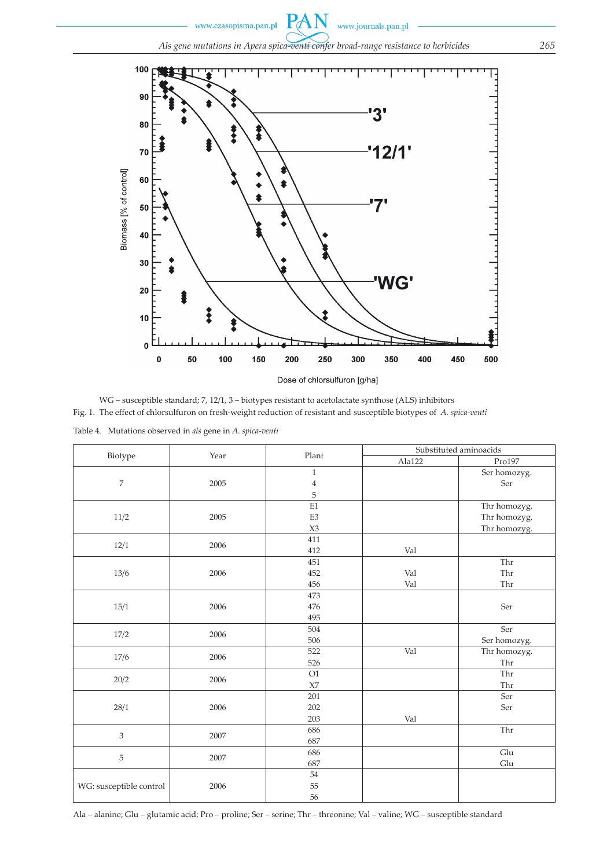

WG – susceptible standard; 7, 12/1, 3 – biotypes resistant to acetolactate synthose (ALS) inhibitors Fig. 1. The effect of chlorsulfuron on fresh-weight reduction of resistant and susceptible biotypes of *A. spica-venti* Table 4. Mutations observed in *als* gene in *A. spica-venti*

|                         |      |                | Substituted aminoacids |                             |  |
|-------------------------|------|----------------|------------------------|-----------------------------|--|
| Biotype                 | Year | Plant          | Ala122                 | Pro197                      |  |
|                         |      | $\mathbf{1}$   |                        | Ser homozyg.                |  |
| $\overline{7}$          | 2005 | $\bf{4}$       |                        | Ser                         |  |
|                         |      | 5              |                        |                             |  |
|                         |      | E1             |                        | Thr homozyg.                |  |
| 11/2                    | 2005 | E <sub>3</sub> |                        | Thr homozyg.                |  |
|                         |      | X3             |                        | Thr homozyg.                |  |
| 12/1                    |      | 411            |                        |                             |  |
|                         | 2006 | 412            | Val                    |                             |  |
|                         |      | 451            |                        | Thr                         |  |
| 13/6                    | 2006 | 452            | Val                    | Thr                         |  |
|                         |      | 456            | Val                    | Thr                         |  |
|                         |      | 473            |                        |                             |  |
| 15/1                    | 2006 | 476            |                        | Ser                         |  |
|                         |      | 495            |                        |                             |  |
| 17/2                    | 2006 | 504            |                        | Ser                         |  |
|                         |      | 506            |                        | Ser homozyg.                |  |
|                         | 2006 | 522            | Val                    | Thr homozyg.                |  |
| 17/6                    |      | 526            |                        | Thr                         |  |
|                         | 2006 | O1             |                        | Thr                         |  |
| 20/2                    |      | $\chi_7$       |                        | Thr                         |  |
|                         |      | 201            |                        | Ser                         |  |
| 28/1                    | 2006 | 202            |                        | Ser                         |  |
|                         |      | 203            | Val                    |                             |  |
|                         | 2007 | 686            |                        | $\overline{\text{Thr}}$     |  |
| 3                       |      | 687            |                        |                             |  |
| 5                       | 2007 | 686            |                        | Glu                         |  |
|                         |      | 687            |                        | $\mathop{\rm Glu}\nolimits$ |  |
|                         |      | 54             |                        |                             |  |
| WG: susceptible control | 2006 | 55             |                        |                             |  |
|                         |      | 56             |                        |                             |  |

Ala – alanine; Glu – glutamic acid; Pro – proline; Ser – serine; Thr – threonine; Val – valine; WG – susceptible standard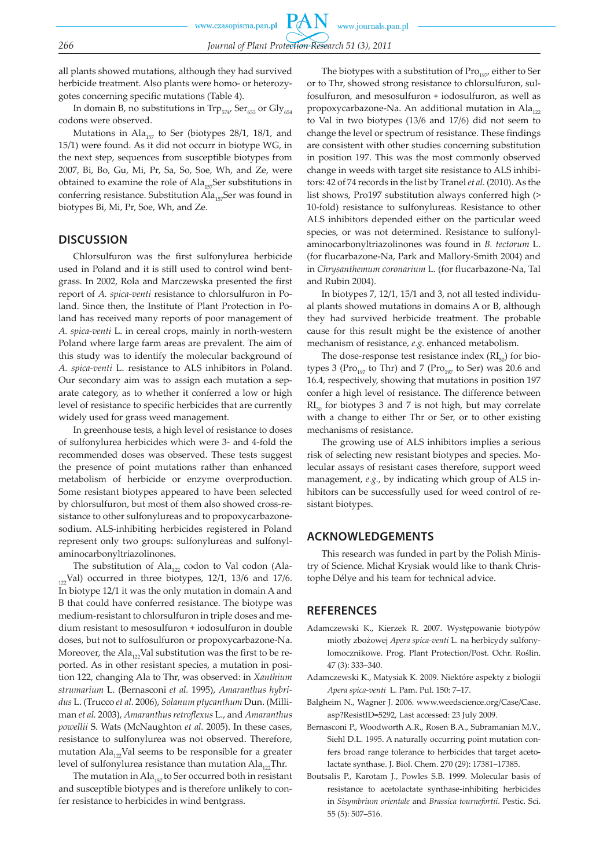all plants showed mutations, although they had survived herbicide treatment. Also plants were homo- or heterozygotes concerning specific mutations (Table 4).

In domain B, no substitutions in  $\text{Trp}_{574}$ ,  $\text{Ser}_{653}$  or  $\text{Gly}_{654}$ codons were observed.

Mutations in Ala<sub>157</sub> to Ser (biotypes 28/1, 18/1, and 15/1) were found. As it did not occurr in biotype WG, in the next step, sequences from susceptible biotypes from 2007, Bi, Bo, Gu, Mi, Pr, Sa, So, Soe, Wh, and Ze, were obtained to examine the role of  $\text{Ala}_{157}\text{Ser}$  substitutions in conferring resistance. Substitution Ala<sub>157</sub>Ser was found in biotypes Bi, Mi, Pr, Soe, Wh, and Ze.

## **DISCUSSION**

Chlorsulfuron was the first sulfonylurea herbicide used in Poland and it is still used to control wind bentgrass. In 2002, Rola and Marczewska presented the first report of *A. spica-venti* resistance to chlorsulfuron in Poland. Since then, the Institute of Plant Protection in Poland has received many reports of poor management of *A. spica-venti* L. in cereal crops, mainly in north-western Poland where large farm areas are prevalent. The aim of this study was to identify the molecular background of *A. spica-venti* L. resistance to ALS inhibitors in Poland. Our secondary aim was to assign each mutation a separate category, as to whether it conferred a low or high level of resistance to specific herbicides that are currently widely used for grass weed management.

In greenhouse tests, a high level of resistance to doses of sulfonylurea herbicides which were 3- and 4-fold the recommended doses was observed. These tests suggest the presence of point mutations rather than enhanced metabolism of herbicide or enzyme overproduction. Some resistant biotypes appeared to have been selected by chlorsulfuron, but most of them also showed cross-resistance to other sulfonylureas and to propoxycarbazonesodium. ALS-inhibiting herbicides registered in Poland represent only two groups: sulfonylureas and sulfonylaminocarbonyltriazolinones.

The substitution of  $\text{Ala}_{122}$  codon to Val codon (Ala- $12$ <sup>12</sup>/Val) occurred in three biotypes, 12/1, 13/6 and 17/6. In biotype 12/1 it was the only mutation in domain A and B that could have conferred resistance. The biotype was medium-resistant to chlorsulfuron in triple doses and medium resistant to mesosulfuron + iodosulfuron in double doses, but not to sulfosulfuron or propoxycarbazone-Na. Moreover, the Ala<sub>122</sub>Val substitution was the first to be reported. As in other resistant species, a mutation in position 122, changing Ala to Thr, was observed: in *Xanthium strumarium* L. (Bernasconi *et al.* 1995), *Amaranthus hybridus* L. (Trucco *et al.* 2006), *Solanum ptycanthum* Dun. (Milliman *et al.* 2003), *Amaranthus retroflexus* L., and *Amaranthus powellii* S. Wats (McNaughton *et al.* 2005). In these cases, resistance to sulfonylurea was not observed. Therefore, mutation  $\text{Ala}_{12}$ Val seems to be responsible for a greater level of sulfonylurea resistance than mutation  $\text{Ala}_{12}$ Thr.

The mutation in Ala<sub>157</sub> to Ser occurred both in resistant and susceptible biotypes and is therefore unlikely to confer resistance to herbicides in wind bentgrass.

The biotypes with a substitution of  $Pro<sub>197</sub>$ , either to Ser or to Thr, showed strong resistance to chlorsulfuron, sulfosulfuron, and mesosulfuron + iodosulfuron, as well as propoxycarbazone-Na. An additional mutation in Ala<sub>122</sub> to Val in two biotypes (13/6 and 17/6) did not seem to change the level or spectrum of resistance. These findings are consistent with other studies concerning substitution in position 197. This was the most commonly observed change in weeds with target site resistance to ALS inhibitors: 42 of 74 records in the list by Tranel *et al.* (2010). As the list shows, Pro197 substitution always conferred high (> 10-fold) resistance to sulfonylureas. Resistance to other ALS inhibitors depended either on the particular weed species, or was not determined. Resistance to sulfonylaminocarbonyltriazolinones was found in *B. tectorum* L. (for flucarbazone-Na, Park and Mallory-Smith 2004) and in *Chrysanthemum coronarium* L. (for flucarbazone-Na, Tal and Rubin 2004).

In biotypes 7, 12/1, 15/1 and 3, not all tested individual plants showed mutations in domains A or B, although they had survived herbicide treatment. The probable cause for this result might be the existence of another mechanism of resistance, *e.g.* enhanced metabolism.

The dose-response test resistance index  $(RI_{50})$  for biotypes 3 (Pro $_{197}$  to Thr) and 7 (Pro $_{197}$  to Ser) was 20.6 and 16.4, respectively, showing that mutations in position 197 confer a high level of resistance. The difference between  $RI<sub>50</sub>$  for biotypes 3 and 7 is not high, but may correlate with a change to either Thr or Ser, or to other existing mechanisms of resistance.

The growing use of ALS inhibitors implies a serious risk of selecting new resistant biotypes and species. Molecular assays of resistant cases therefore, support weed management, *e.g.*, by indicating which group of ALS inhibitors can be successfully used for weed control of resistant biotypes.

## **ACKNOWLEDGEMENTS**

This research was funded in part by the Polish Ministry of Science. Michał Krysiak would like to thank Christophe Délye and his team for technical advice.

## **REFERENCES**

- Adamczewski K., Kierzek R. 2007. Występowanie biotypów miotły zbożowej *Apera spica-venti* L. na herbicydy sulfonylomocznikowe. Prog. Plant Protection/Post. Ochr. Roślin. 47 (3): 333–340.
- Adamczewski K., Matysiak K. 2009. Niektóre aspekty z biologii *Apera spica-venti* L. Pam. Puł. 150: 7–17.
- Balgheim N., Wagner J. 2006. www.weedscience.org/Case/Case. asp?ResistID=5292, Last accessed: 23 July 2009.
- Bernasconi P., Woodworth A.R., Rosen B.A., Subramanian M.V., Siehl D.L. 1995. A naturally occurring point mutation confers broad range tolerance to herbicides that target acetolactate synthase. J. Biol. Chem. 270 (29): 17381–17385.
- Boutsalis P., Karotam J., Powles S.B. 1999. Molecular basis of resistance to acetolactate synthase-inhibiting herbicides in *Sisymbrium orientale* and *Brassica tournefortii*. Pestic. Sci. 55 (5): 507–516.